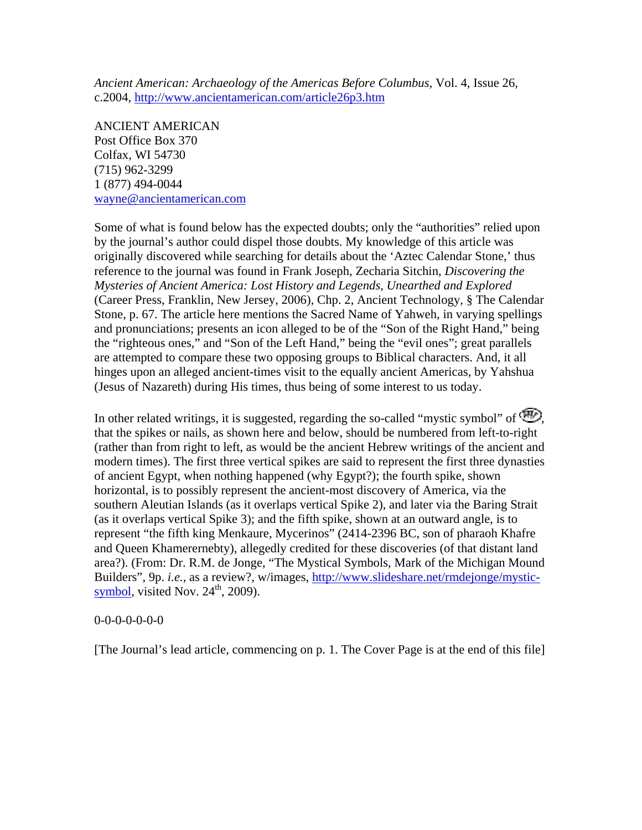*Ancient American: Archaeology of the Americas Before Columbus*, Vol. 4, Issue 26, c.2004,<http://www.ancientamerican.com/article26p3.htm>

ANCIENT AMERICAN Post Office Box 370 Colfax, WI 54730 (715) 962-3299 1 (877) 494-0044 [wayne@ancientamerican.com](mailto:wayne@ancientamerican.com)

Some of what is found below has the expected doubts; only the "authorities" relied upon by the journal's author could dispel those doubts. My knowledge of this article was originally discovered while searching for details about the 'Aztec Calendar Stone,' thus reference to the journal was found in Frank Joseph, Zecharia Sitchin, *Discovering the Mysteries of Ancient America: Lost History and Legends, Unearthed and Explored* (Career Press, Franklin, New Jersey, 2006), Chp. 2, Ancient Technology, § The Calendar Stone, p. 67. The article here mentions the Sacred Name of Yahweh, in varying spellings and pronunciations; presents an icon alleged to be of the "Son of the Right Hand," being the "righteous ones," and "Son of the Left Hand," being the "evil ones"; great parallels are attempted to compare these two opposing groups to Biblical characters. And, it all hinges upon an alleged ancient-times visit to the equally ancient Americas, by Yahshua (Jesus of Nazareth) during His times, thus being of some interest to us today.

In other related writings, it is suggested, regarding the so-called "mystic symbol" of  $\bigcirc$ . that the spikes or nails, as shown here and below, should be numbered from left-to-right (rather than from right to left, as would be the ancient Hebrew writings of the ancient and modern times). The first three vertical spikes are said to represent the first three dynasties of ancient Egypt, when nothing happened (why Egypt?); the fourth spike, shown horizontal, is to possibly represent the ancient-most discovery of America, via the southern Aleutian Islands (as it overlaps vertical Spike 2), and later via the Baring Strait (as it overlaps vertical Spike 3); and the fifth spike, shown at an outward angle, is to represent "the fifth king Menkaure, Mycerinos" (2414-2396 BC, son of pharaoh Khafre and Queen Khamerernebty), allegedly credited for these discoveries (of that distant land area?). (From: Dr. R.M. de Jonge, "The Mystical Symbols, Mark of the Michigan Mound Builders", 9p. *i.e.*, as a review?, w/images, [http://www.slideshare.net/rmdejonge/mystic](http://www.slideshare.net/rmdejonge/mystic-symbol)[symbol](http://www.slideshare.net/rmdejonge/mystic-symbol), visited Nov.  $24^{\text{th}}$ , 2009).

### 0-0-0-0-0-0-0

[The Journal's lead article, commencing on p. 1. The Cover Page is at the end of this file]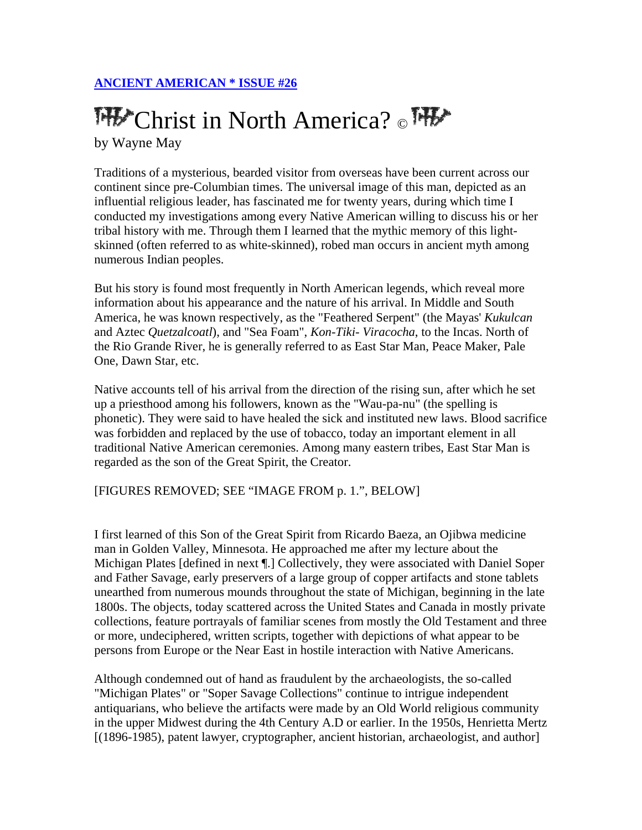# THE Christ in North America? THE by Wayne May

Traditions of a mysterious, bearded visitor from overseas have been current across our continent since pre-Columbian times. The universal image of this man, depicted as an influential religious leader, has fascinated me for twenty years, during which time I conducted my investigations among every Native American willing to discuss his or her tribal history with me. Through them I learned that the mythic memory of this lightskinned (often referred to as white-skinned), robed man occurs in ancient myth among numerous Indian peoples.

But his story is found most frequently in North American legends, which reveal more information about his appearance and the nature of his arrival. In Middle and South America, he was known respectively, as the "Feathered Serpent" (the Mayas' *Kukulcan* and Aztec *Quetzalcoatl*), and "Sea Foam", *Kon-Tiki- Viracocha*, to the Incas. North of the Rio Grande River, he is generally referred to as East Star Man, Peace Maker, Pale One, Dawn Star, etc.

Native accounts tell of his arrival from the direction of the rising sun, after which he set up a priesthood among his followers, known as the "Wau-pa-nu" (the spelling is phonetic). They were said to have healed the sick and instituted new laws. Blood sacrifice was forbidden and replaced by the use of tobacco, today an important element in all traditional Native American ceremonies. Among many eastern tribes, East Star Man is regarded as the son of the Great Spirit, the Creator.

# [FIGURES REMOVED; SEE "IMAGE FROM p. 1.", BELOW]

I first learned of this Son of the Great Spirit from Ricardo Baeza, an Ojibwa medicine man in Golden Valley, Minnesota. He approached me after my lecture about the Michigan Plates [defined in next ¶.] Collectively, they were associated with Daniel Soper and Father Savage, early preservers of a large group of copper artifacts and stone tablets unearthed from numerous mounds throughout the state of Michigan, beginning in the late 1800s. The objects, today scattered across the United States and Canada in mostly private collections, feature portrayals of familiar scenes from mostly the Old Testament and three or more, undeciphered, written scripts, together with depictions of what appear to be persons from Europe or the Near East in hostile interaction with Native Americans.

Although condemned out of hand as fraudulent by the archaeologists, the so-called "Michigan Plates" or "Soper Savage Collections" continue to intrigue independent antiquarians, who believe the artifacts were made by an Old World religious community in the upper Midwest during the 4th Century A.D or earlier. In the 1950s, Henrietta Mertz [(1896-1985), patent lawyer, cryptographer, ancient historian, archaeologist, and author]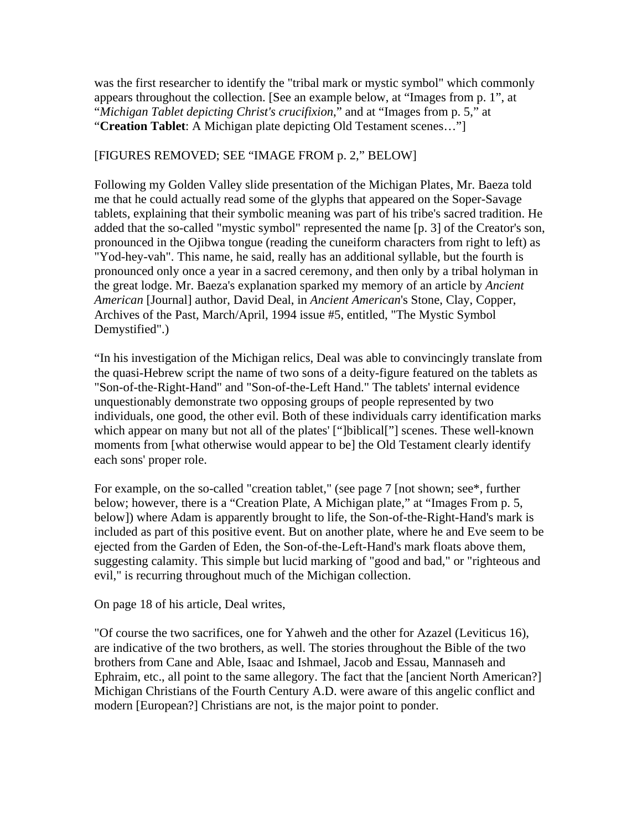was the first researcher to identify the "tribal mark or mystic symbol" which commonly appears throughout the collection. [See an example below, at "Images from p. 1", at "*Michigan Tablet depicting Christ's crucifixion*," and at "Images from p. 5," at "**Creation Tablet**: A Michigan plate depicting Old Testament scenes…"]

## [FIGURES REMOVED; SEE "IMAGE FROM p. 2," BELOW]

Following my Golden Valley slide presentation of the Michigan Plates, Mr. Baeza told me that he could actually read some of the glyphs that appeared on the Soper-Savage tablets, explaining that their symbolic meaning was part of his tribe's sacred tradition. He added that the so-called "mystic symbol" represented the name [p. 3] of the Creator's son, pronounced in the Ojibwa tongue (reading the cuneiform characters from right to left) as "Yod-hey-vah". This name, he said, really has an additional syllable, but the fourth is pronounced only once a year in a sacred ceremony, and then only by a tribal holyman in the great lodge. Mr. Baeza's explanation sparked my memory of an article by *Ancient American* [Journal] author, David Deal, in *Ancient American*'s Stone, Clay, Copper, Archives of the Past, March/April, 1994 issue #5, entitled, "The Mystic Symbol Demystified".)

"In his investigation of the Michigan relics, Deal was able to convincingly translate from the quasi-Hebrew script the name of two sons of a deity-figure featured on the tablets as "Son-of-the-Right-Hand" and "Son-of-the-Left Hand." The tablets' internal evidence unquestionably demonstrate two opposing groups of people represented by two individuals, one good, the other evil. Both of these individuals carry identification marks which appear on many but not all of the plates' ["]biblical["] scenes. These well-known moments from [what otherwise would appear to be] the Old Testament clearly identify each sons' proper role.

For example, on the so-called "creation tablet," (see page 7 [not shown; see\*, further below; however, there is a "Creation Plate, A Michigan plate," at "Images From p. 5, below]) where Adam is apparently brought to life, the Son-of-the-Right-Hand's mark is included as part of this positive event. But on another plate, where he and Eve seem to be ejected from the Garden of Eden, the Son-of-the-Left-Hand's mark floats above them, suggesting calamity. This simple but lucid marking of "good and bad," or "righteous and evil," is recurring throughout much of the Michigan collection.

On page 18 of his article, Deal writes,

"Of course the two sacrifices, one for Yahweh and the other for Azazel (Leviticus 16), are indicative of the two brothers, as well. The stories throughout the Bible of the two brothers from Cane and Able, Isaac and Ishmael, Jacob and Essau, Mannaseh and Ephraim, etc., all point to the same allegory. The fact that the [ancient North American?] Michigan Christians of the Fourth Century A.D. were aware of this angelic conflict and modern [European?] Christians are not, is the major point to ponder.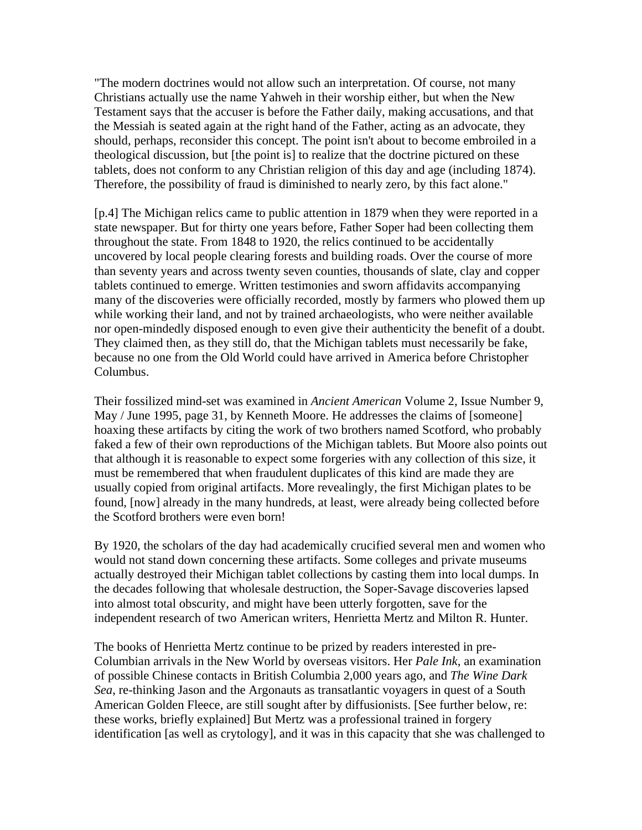"The modern doctrines would not allow such an interpretation. Of course, not many Christians actually use the name Yahweh in their worship either, but when the New Testament says that the accuser is before the Father daily, making accusations, and that the Messiah is seated again at the right hand of the Father, acting as an advocate, they should, perhaps, reconsider this concept. The point isn't about to become embroiled in a theological discussion, but [the point is] to realize that the doctrine pictured on these tablets, does not conform to any Christian religion of this day and age (including 1874). Therefore, the possibility of fraud is diminished to nearly zero, by this fact alone."

[p.4] The Michigan relics came to public attention in 1879 when they were reported in a state newspaper. But for thirty one years before, Father Soper had been collecting them throughout the state. From 1848 to 1920, the relics continued to be accidentally uncovered by local people clearing forests and building roads. Over the course of more than seventy years and across twenty seven counties, thousands of slate, clay and copper tablets continued to emerge. Written testimonies and sworn affidavits accompanying many of the discoveries were officially recorded, mostly by farmers who plowed them up while working their land, and not by trained archaeologists, who were neither available nor open-mindedly disposed enough to even give their authenticity the benefit of a doubt. They claimed then, as they still do, that the Michigan tablets must necessarily be fake, because no one from the Old World could have arrived in America before Christopher Columbus.

Their fossilized mind-set was examined in *Ancient American* Volume 2, Issue Number 9, May / June 1995, page 31, by Kenneth Moore. He addresses the claims of [someone] hoaxing these artifacts by citing the work of two brothers named Scotford, who probably faked a few of their own reproductions of the Michigan tablets. But Moore also points out that although it is reasonable to expect some forgeries with any collection of this size, it must be remembered that when fraudulent duplicates of this kind are made they are usually copied from original artifacts. More revealingly, the first Michigan plates to be found, [now] already in the many hundreds, at least, were already being collected before the Scotford brothers were even born!

By 1920, the scholars of the day had academically crucified several men and women who would not stand down concerning these artifacts. Some colleges and private museums actually destroyed their Michigan tablet collections by casting them into local dumps. In the decades following that wholesale destruction, the Soper-Savage discoveries lapsed into almost total obscurity, and might have been utterly forgotten, save for the independent research of two American writers, Henrietta Mertz and Milton R. Hunter.

The books of Henrietta Mertz continue to be prized by readers interested in pre-Columbian arrivals in the New World by overseas visitors. Her *Pale Ink*, an examination of possible Chinese contacts in British Columbia 2,000 years ago, and *The Wine Dark Sea*, re-thinking Jason and the Argonauts as transatlantic voyagers in quest of a South American Golden Fleece, are still sought after by diffusionists. [See further below, re: these works, briefly explained] But Mertz was a professional trained in forgery identification [as well as crytology], and it was in this capacity that she was challenged to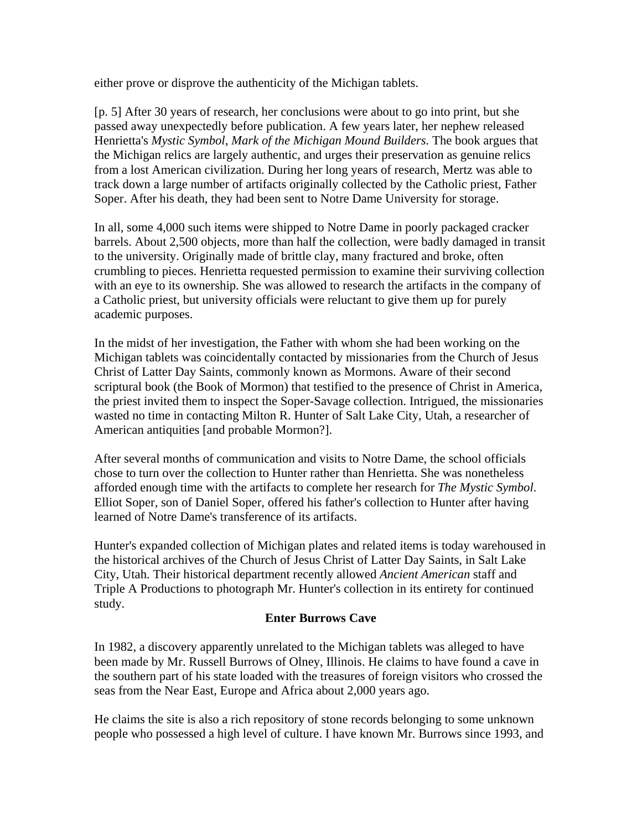either prove or disprove the authenticity of the Michigan tablets.

[p. 5] After 30 years of research, her conclusions were about to go into print, but she passed away unexpectedly before publication. A few years later, her nephew released Henrietta's *Mystic Symbol, Mark of the Michigan Mound Builders.* The book argues that the Michigan relics are largely authentic, and urges their preservation as genuine relics from a lost American civilization. During her long years of research, Mertz was able to track down a large number of artifacts originally collected by the Catholic priest, Father Soper. After his death, they had been sent to Notre Dame University for storage.

In all, some 4,000 such items were shipped to Notre Dame in poorly packaged cracker barrels. About 2,500 objects, more than half the collection, were badly damaged in transit to the university. Originally made of brittle clay, many fractured and broke, often crumbling to pieces. Henrietta requested permission to examine their surviving collection with an eye to its ownership. She was allowed to research the artifacts in the company of a Catholic priest, but university officials were reluctant to give them up for purely academic purposes.

In the midst of her investigation, the Father with whom she had been working on the Michigan tablets was coincidentally contacted by missionaries from the Church of Jesus Christ of Latter Day Saints, commonly known as Mormons. Aware of their second scriptural book (the Book of Mormon) that testified to the presence of Christ in America, the priest invited them to inspect the Soper-Savage collection. Intrigued, the missionaries wasted no time in contacting Milton R. Hunter of Salt Lake City, Utah, a researcher of American antiquities [and probable Mormon?].

After several months of communication and visits to Notre Dame, the school officials chose to turn over the collection to Hunter rather than Henrietta. She was nonetheless afforded enough time with the artifacts to complete her research for *The Mystic Symbol*. Elliot Soper, son of Daniel Soper, offered his father's collection to Hunter after having learned of Notre Dame's transference of its artifacts.

Hunter's expanded collection of Michigan plates and related items is today warehoused in the historical archives of the Church of Jesus Christ of Latter Day Saints, in Salt Lake City, Utah. Their historical department recently allowed *Ancient American* staff and Triple A Productions to photograph Mr. Hunter's collection in its entirety for continued study.

## **Enter Burrows Cave**

In 1982, a discovery apparently unrelated to the Michigan tablets was alleged to have been made by Mr. Russell Burrows of Olney, Illinois. He claims to have found a cave in the southern part of his state loaded with the treasures of foreign visitors who crossed the seas from the Near East, Europe and Africa about 2,000 years ago.

He claims the site is also a rich repository of stone records belonging to some unknown people who possessed a high level of culture. I have known Mr. Burrows since 1993, and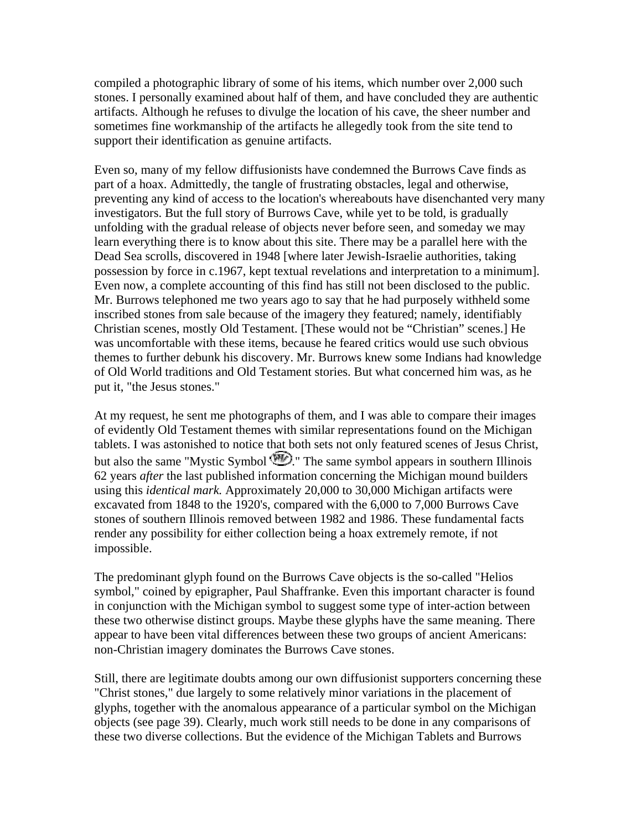compiled a photographic library of some of his items, which number over 2,000 such stones. I personally examined about half of them, and have concluded they are authentic artifacts. Although he refuses to divulge the location of his cave, the sheer number and sometimes fine workmanship of the artifacts he allegedly took from the site tend to support their identification as genuine artifacts.

Even so, many of my fellow diffusionists have condemned the Burrows Cave finds as part of a hoax. Admittedly, the tangle of frustrating obstacles, legal and otherwise, preventing any kind of access to the location's whereabouts have disenchanted very many investigators. But the full story of Burrows Cave, while yet to be told, is gradually unfolding with the gradual release of objects never before seen, and someday we may learn everything there is to know about this site. There may be a parallel here with the Dead Sea scrolls, discovered in 1948 [where later Jewish-Israelie authorities, taking possession by force in c.1967, kept textual revelations and interpretation to a minimum]. Even now, a complete accounting of this find has still not been disclosed to the public. Mr. Burrows telephoned me two years ago to say that he had purposely withheld some inscribed stones from sale because of the imagery they featured; namely, identifiably Christian scenes, mostly Old Testament. [These would not be "Christian" scenes.] He was uncomfortable with these items, because he feared critics would use such obvious themes to further debunk his discovery. Mr. Burrows knew some Indians had knowledge of Old World traditions and Old Testament stories. But what concerned him was, as he put it, "the Jesus stones."

At my request, he sent me photographs of them, and I was able to compare their images of evidently Old Testament themes with similar representations found on the Michigan tablets. I was astonished to notice that both sets not only featured scenes of Jesus Christ, but also the same "Mystic Symbol  $\mathcal{D}$ ." The same symbol appears in southern Illinois 62 years *after* the last published information concerning the Michigan mound builders using this *identical mark.* Approximately 20,000 to 30,000 Michigan artifacts were excavated from 1848 to the 1920's, compared with the 6,000 to 7,000 Burrows Cave stones of southern Illinois removed between 1982 and 1986. These fundamental facts render any possibility for either collection being a hoax extremely remote, if not impossible.

The predominant glyph found on the Burrows Cave objects is the so-called "Helios symbol," coined by epigrapher, Paul Shaffranke. Even this important character is found in conjunction with the Michigan symbol to suggest some type of inter-action between these two otherwise distinct groups. Maybe these glyphs have the same meaning. There appear to have been vital differences between these two groups of ancient Americans: non-Christian imagery dominates the Burrows Cave stones.

Still, there are legitimate doubts among our own diffusionist supporters concerning these "Christ stones," due largely to some relatively minor variations in the placement of glyphs, together with the anomalous appearance of a particular symbol on the Michigan objects (see page 39). Clearly, much work still needs to be done in any comparisons of these two diverse collections. But the evidence of the Michigan Tablets and Burrows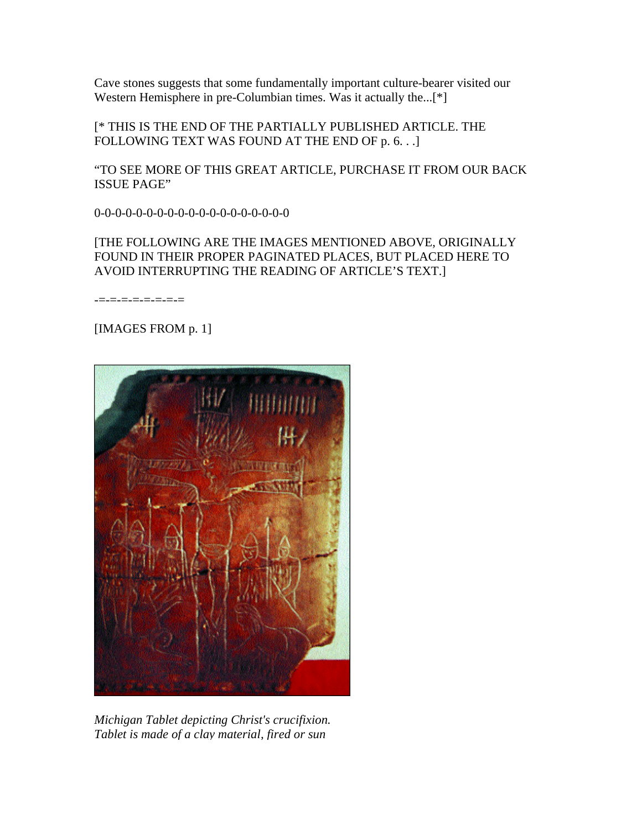Cave stones suggests that some fundamentally important culture-bearer visited our Western Hemisphere in pre-Columbian times. Was it actually the...<sup>[\*]</sup>

[\* THIS IS THE END OF THE PARTIALLY PUBLISHED ARTICLE. THE FOLLOWING TEXT WAS FOUND AT THE END OF p. 6. . .]

"TO SEE MORE OF THIS GREAT ARTICLE, PURCHASE IT FROM OUR BACK ISSUE PAGE"

0-0-0-0-0-0-0-0-0-0-0-0-0-0-0-0-0-0-0

## [THE FOLLOWING ARE THE IMAGES MENTIONED ABOVE, ORIGINALLY FOUND IN THEIR PROPER PAGINATED PLACES, BUT PLACED HERE TO AVOID INTERRUPTING THE READING OF ARTICLE'S TEXT.]

-=-=-=-=-=-=-=-=

# [IMAGES FROM p. 1]



*Michigan Tablet depicting Christ's crucifixion. Tablet is made of a clay material, fired or sun*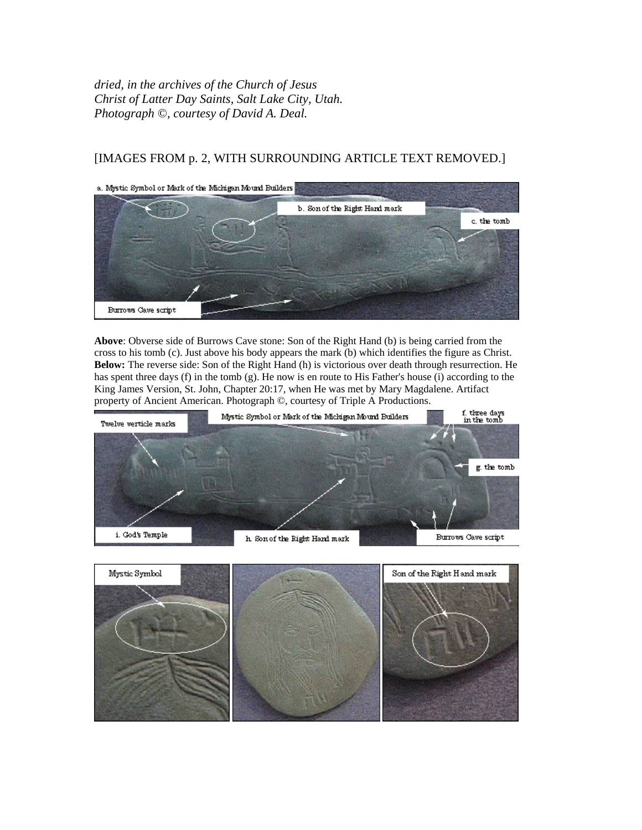*dried, in the archives of the Church of Jesus Christ of Latter Day Saints, Salt Lake City, Utah. Photograph ©, courtesy of David A. Deal.*

# [IMAGES FROM p. 2, WITH SURROUNDING ARTICLE TEXT REMOVED.]



**Above**: Obverse side of Burrows Cave stone: Son of the Right Hand (b) is being carried from the cross to his tomb (c). Just above his body appears the mark (b) which identifies the figure as Christ. **Below:** The reverse side: Son of the Right Hand (h) is victorious over death through resurrection. He has spent three days (f) in the tomb (g). He now is en route to His Father's house (i) according to the King James Version, St. John, Chapter 20:17, when He was met by Mary Magdalene. Artifact property of Ancient American. Photograph ©, courtesy of Triple A Productions.



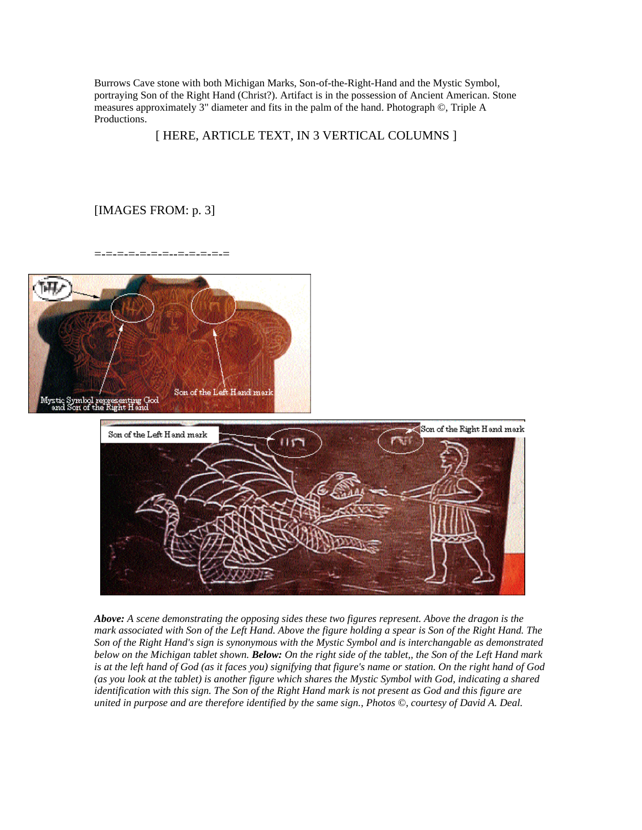Burrows Cave stone with both Michigan Marks, Son-of-the-Right-Hand and the Mystic Symbol, portraying Son of the Right Hand (Christ?). Artifact is in the possession of Ancient American. Stone measures approximately 3" diameter and fits in the palm of the hand. Photograph ©, Triple A Productions.

#### [ HERE, ARTICLE TEXT, IN 3 VERTICAL COLUMNS ]

## [IMAGES FROM: p. 3]

=-=-=-=-=-=-=--=-=-=-=-=





*Above: A scene demonstrating the opposing sides these two figures represent. Above the dragon is the mark associated with Son of the Left Hand. Above the figure holding a spear is Son of the Right Hand. The Son of the Right Hand's sign is synonymous with the Mystic Symbol and is interchangable as demonstrated below on the Michigan tablet shown. Below: On the right side of the tablet,, the Son of the Left Hand mark is at the left hand of God (as it faces you) signifying that figure's name or station. On the right hand of God (as you look at the tablet) is another figure which shares the Mystic Symbol with God, indicating a shared identification with this sign. The Son of the Right Hand mark is not present as God and this figure are united in purpose and are therefore identified by the same sign., Photos ©, courtesy of David A. Deal.*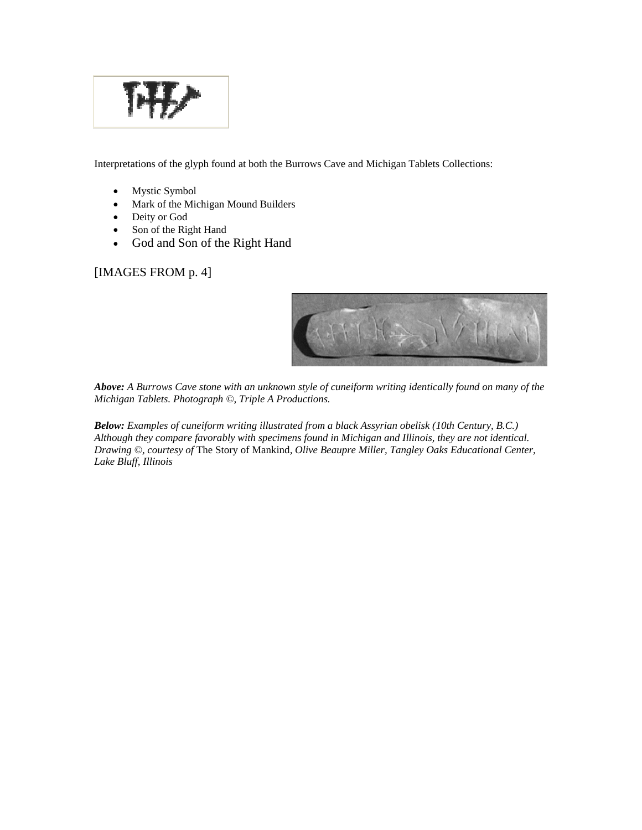

Interpretations of the glyph found at both the Burrows Cave and Michigan Tablets Collections:

- Mystic Symbol
- Mark of the Michigan Mound Builders
- Deity or God
- Son of the Right Hand
- God and Son of the Right Hand

# [IMAGES FROM p. 4]



*Above: A Burrows Cave stone with an unknown style of cuneiform writing identically found on many of the Michigan Tablets. Photograph ©, Triple A Productions.*

*Below: Examples of cuneiform writing illustrated from a black Assyrian obelisk (10th Century, B.C.) Although they compare favorably with specimens found in Michigan and Illinois, they are not identical. Drawing ©, courtesy of* The Story of Mankind*, Olive Beaupre Miller, Tangley Oaks Educational Center, Lake Bluff, Illinois*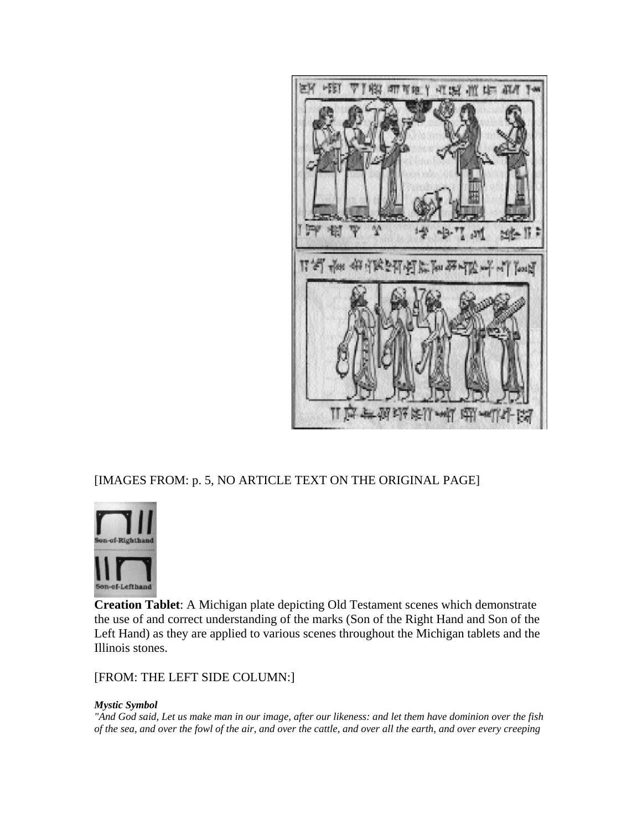

# [IMAGES FROM: p. 5, NO ARTICLE TEXT ON THE ORIGINAL PAGE]



**Creation Tablet**: A Michigan plate depicting Old Testament scenes which demonstrate the use of and correct understanding of the marks (Son of the Right Hand and Son of the Left Hand) as they are applied to various scenes throughout the Michigan tablets and the Illinois stones.

[FROM: THE LEFT SIDE COLUMN:]

#### *Mystic Symbol*

*"And God said, Let us make man in our image, after our likeness: and let them have dominion over the fish of the sea, and over the fowl of the air, and over the cattle, and over all the earth, and over every creeping*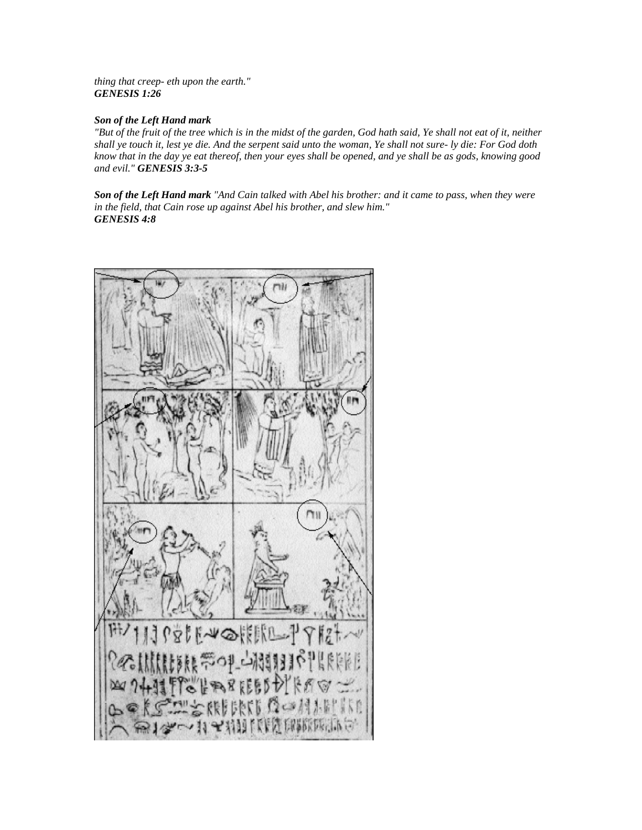*thing that creep- eth upon the earth." GENESIS 1:26*

#### *Son of the Left Hand mark*

*"But of the fruit of the tree which is in the midst of the garden, God hath said, Ye shall not eat of it, neither shall ye touch it, lest ye die. And the serpent said unto the woman, Ye shall not sure- ly die: For God doth know that in the day ye eat thereof, then your eyes shall be opened, and ye shall be as gods, knowing good and evil." GENESIS 3:3-5*

*Son of the Left Hand mark "And Cain talked with Abel his brother: and it came to pass, when they were in the field, that Cain rose up against Abel his brother, and slew him." GENESIS 4:8*

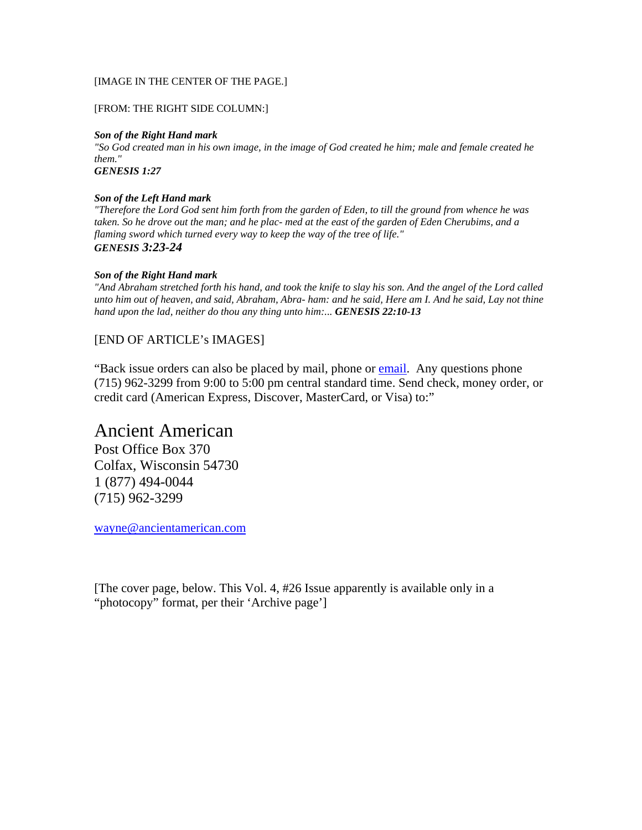#### [IMAGE IN THE CENTER OF THE PAGE.]

#### [FROM: THE RIGHT SIDE COLUMN:]

#### *Son of the Right Hand mark*

*"So God created man in his own image, in the image of God created he him; male and female created he them."* 

*GENESIS 1:27*

#### *Son of the Left Hand mark*

*"Therefore the Lord God sent him forth from the garden of Eden, to till the ground from whence he was taken. So he drove out the man; and he plac- med at the east of the garden of Eden Cherubims, and a flaming sword which turned every way to keep the way of the tree of life." GENESIS 3:23-24*

#### *Son of the Right Hand mark*

*"And Abraham stretched forth his hand, and took the knife to slay his son. And the angel of the Lord called unto him out of heaven, and said, Abraham, Abra- ham: and he said, Here am I. And he said, Lay not thine hand upon the lad, neither do thou any thing unto him:... GENESIS 22:10-13*

## [END OF ARTICLE's IMAGES]

"Back issue orders can also be placed by mail, phone or [email.](mailto:backissue@ancientamerican.com) Any questions phone (715) 962-3299 from 9:00 to 5:00 pm central standard time. Send check, money order, or credit card (American Express, Discover, MasterCard, or Visa) to:"

# Ancient American

Post Office Box 370 Colfax, Wisconsin 54730 1 (877) 494-0044 (715) 962-3299

wayne@ancientamerican.com

[The cover page, below. This Vol. 4, #26 Issue apparently is available only in a "photocopy" format, per their 'Archive page']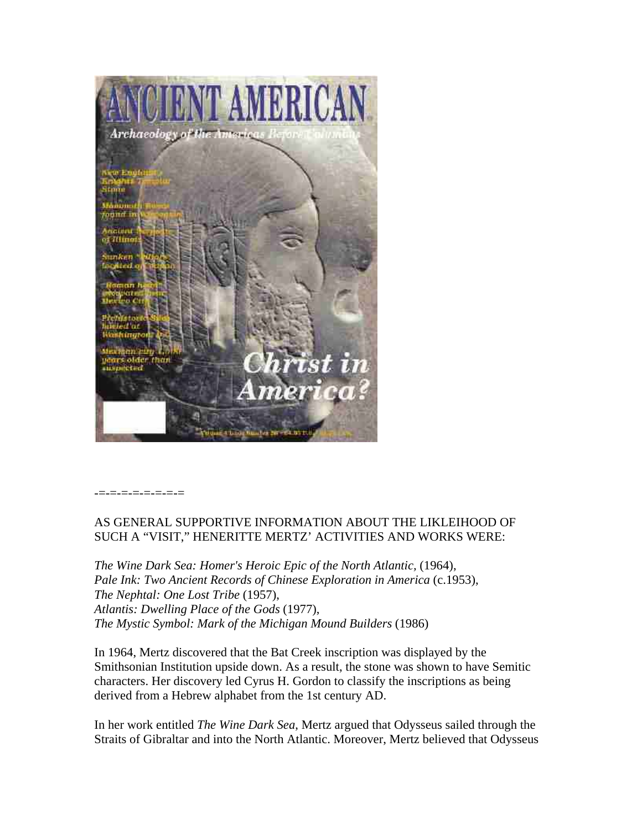

-=-=-=-=-=-=-=-=

## AS GENERAL SUPPORTIVE INFORMATION ABOUT THE LIKLEIHOOD OF SUCH A "VISIT," HENERITTE MERTZ' ACTIVITIES AND WORKS WERE:

*The Wine Dark Sea: Homer's Heroic Epic of the North Atlantic,* (1964), *Pale Ink: Two Ancient Records of Chinese Exploration in America* (c.1953), *The Nephtal: One Lost Tribe* (1957), *Atlantis: Dwelling Place of the Gods* (1977), *The Mystic Symbol: Mark of the Michigan Mound Builders* (1986)

In 1964, Mertz discovered that the Bat Creek inscription was displayed by the Smithsonian Institution upside down. As a result, the stone was shown to have Semitic characters. Her discovery led Cyrus H. Gordon to classify the inscriptions as being derived from a Hebrew alphabet from the 1st century AD.

In her work entitled *The Wine Dark Sea*, Mertz argued that Odysseus sailed through the Straits of Gibraltar and into the North Atlantic. Moreover, Mertz believed that Odysseus